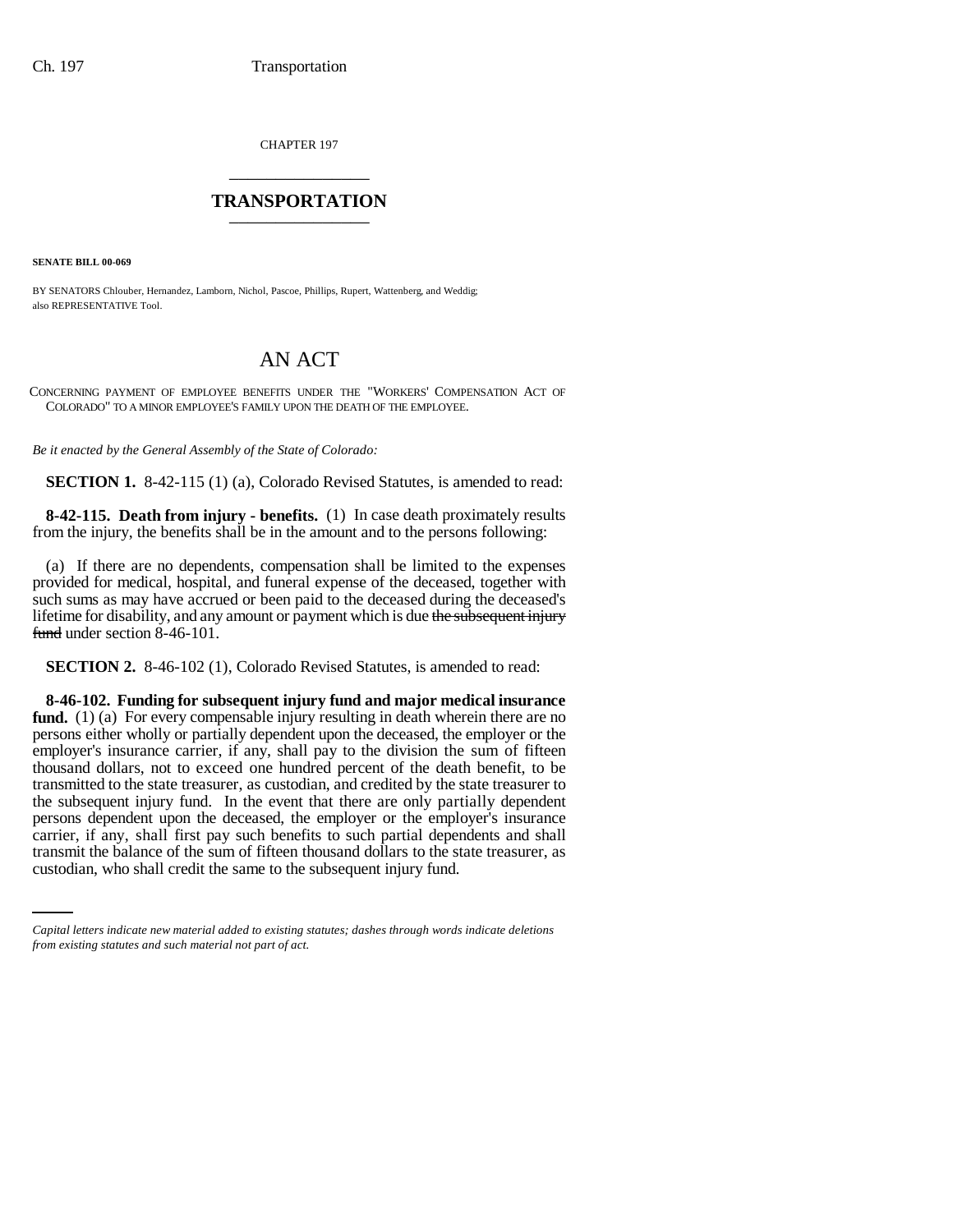CHAPTER 197 \_\_\_\_\_\_\_\_\_\_\_\_\_\_\_

## **TRANSPORTATION** \_\_\_\_\_\_\_\_\_\_\_\_\_\_\_

**SENATE BILL 00-069** 

BY SENATORS Chlouber, Hernandez, Lamborn, Nichol, Pascoe, Phillips, Rupert, Wattenberg, and Weddig; also REPRESENTATIVE Tool.

## AN ACT

CONCERNING PAYMENT OF EMPLOYEE BENEFITS UNDER THE "WORKERS' COMPENSATION ACT OF COLORADO" TO A MINOR EMPLOYEE'S FAMILY UPON THE DEATH OF THE EMPLOYEE.

*Be it enacted by the General Assembly of the State of Colorado:*

**SECTION 1.** 8-42-115 (1) (a), Colorado Revised Statutes, is amended to read:

**8-42-115. Death from injury - benefits.** (1) In case death proximately results from the injury, the benefits shall be in the amount and to the persons following:

(a) If there are no dependents, compensation shall be limited to the expenses provided for medical, hospital, and funeral expense of the deceased, together with such sums as may have accrued or been paid to the deceased during the deceased's lifetime for disability, and any amount or payment which is due the subsequent injury fund under section 8-46-101.

**SECTION 2.** 8-46-102 (1), Colorado Revised Statutes, is amended to read:

carrier, if any, shall first pay such benefits to such partial dependents and shall **8-46-102. Funding for subsequent injury fund and major medical insurance fund.** (1) (a) For every compensable injury resulting in death wherein there are no persons either wholly or partially dependent upon the deceased, the employer or the employer's insurance carrier, if any, shall pay to the division the sum of fifteen thousand dollars, not to exceed one hundred percent of the death benefit, to be transmitted to the state treasurer, as custodian, and credited by the state treasurer to the subsequent injury fund. In the event that there are only partially dependent persons dependent upon the deceased, the employer or the employer's insurance transmit the balance of the sum of fifteen thousand dollars to the state treasurer, as custodian, who shall credit the same to the subsequent injury fund.

*Capital letters indicate new material added to existing statutes; dashes through words indicate deletions from existing statutes and such material not part of act.*